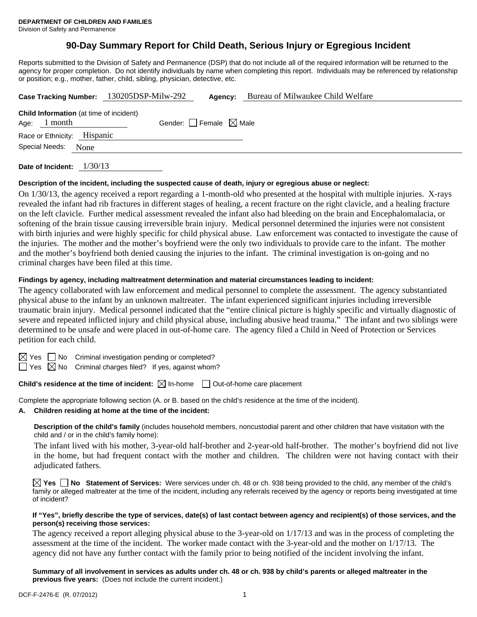# **90-Day Summary Report for Child Death, Serious Injury or Egregious Incident**

Reports submitted to the Division of Safety and Permanence (DSP) that do not include all of the required information will be returned to the agency for proper completion. Do not identify individuals by name when completing this report. Individuals may be referenced by relationship or position; e.g., mother, father, child, sibling, physician, detective, etc.

|                |                                                           | Case Tracking Number: 130205DSP-Milw-292 | Agency:                         | Bureau of Milwaukee Child Welfare |
|----------------|-----------------------------------------------------------|------------------------------------------|---------------------------------|-----------------------------------|
| Age:           | <b>Child Information</b> (at time of incident)<br>1 month |                                          | Gender: Female $\boxtimes$ Male |                                   |
|                | Race or Ethnicity: Hispanic                               |                                          |                                 |                                   |
| Special Needs: | None                                                      |                                          |                                 |                                   |
|                |                                                           |                                          |                                 |                                   |

**Date of Incident:** 1/30/13

#### **Description of the incident, including the suspected cause of death, injury or egregious abuse or neglect:**

On 1/30/13, the agency received a report regarding a 1-month-old who presented at the hospital with multiple injuries. X-rays revealed the infant had rib fractures in different stages of healing, a recent fracture on the right clavicle, and a healing fracture on the left clavicle. Further medical assessment revealed the infant also had bleeding on the brain and Encephalomalacia, or softening of the brain tissue causing irreversible brain injury. Medical personnel determined the injuries were not consistent with birth injuries and were highly specific for child physical abuse. Law enforcement was contacted to investigate the cause of the injuries. The mother and the mother's boyfriend were the only two individuals to provide care to the infant. The mother and the mother's boyfriend both denied causing the injuries to the infant. The criminal investigation is on-going and no criminal charges have been filed at this time.

# **Findings by agency, including maltreatment determination and material circumstances leading to incident:**

The agency collaborated with law enforcement and medical personnel to complete the assessment. The agency substantiated physical abuse to the infant by an unknown maltreater. The infant experienced significant injuries including irreversible traumatic brain injury. Medical personnel indicated that the "entire clinical picture is highly specific and virtually diagnostic of severe and repeated inflicted injury and child physical abuse, including abusive head trauma." The infant and two siblings were determined to be unsafe and were placed in out-of-home care. The agency filed a Child in Need of Protection or Services petition for each child.

 $S \cap N$ o Criminal investigation pending or completed?

 $\Box$  Yes  $\boxtimes$  No Criminal charges filed? If yes, against whom?

# **Child's residence at the time of incident:**  $\boxtimes$  In-home  $\Box$  Out-of-home care placement

Complete the appropriate following section (A. or B. based on the child's residence at the time of the incident).

**A. Children residing at home at the time of the incident:**

**Description of the child's family** (includes household members, noncustodial parent and other children that have visitation with the child and / or in the child's family home):

 The infant lived with his mother, 3-year-old half-brother and 2-year-old half-brother. The mother's boyfriend did not live in the home, but had frequent contact with the mother and children. The children were not having contact with their adjudicated fathers.

**Yes No Statement of Services:** Were services under ch. 48 or ch. 938 being provided to the child, any member of the child's family or alleged maltreater at the time of the incident, including any referrals received by the agency or reports being investigated at time of incident?

#### **If "Yes", briefly describe the type of services, date(s) of last contact between agency and recipient(s) of those services, and the person(s) receiving those services:**

The agency received a report alleging physical abuse to the 3-year-old on 1/17/13 and was in the process of completing the assessment at the time of the incident. The worker made contact with the 3-year-old and the mother on 1/17/13. The agency did not have any further contact with the family prior to being notified of the incident involving the infant.

**Summary of all involvement in services as adults under ch. 48 or ch. 938 by child's parents or alleged maltreater in the previous five years:** (Does not include the current incident.)